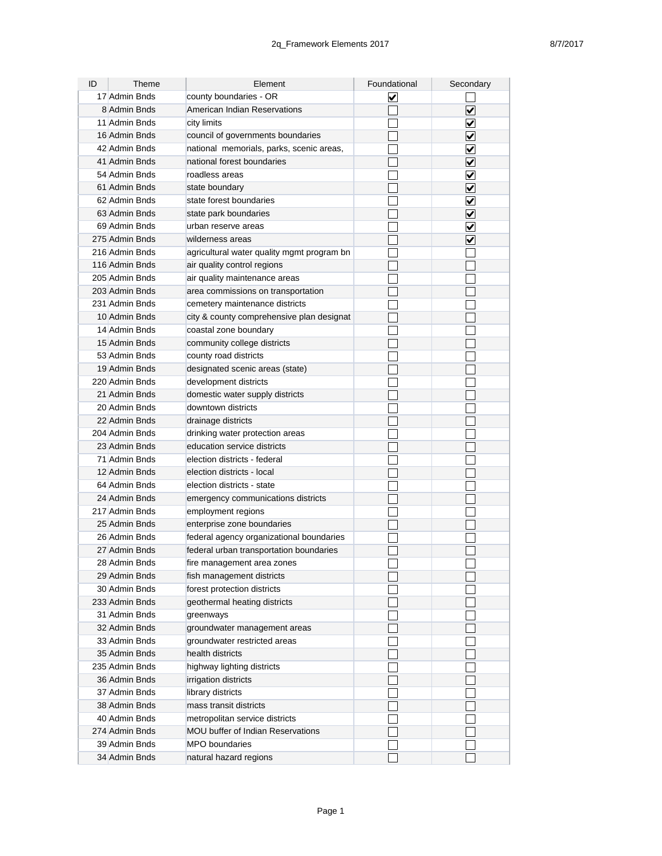| ID | Theme          | Element                                    | Foundational | Secondary    |
|----|----------------|--------------------------------------------|--------------|--------------|
|    | 17 Admin Bnds  | county boundaries - OR                     | $\checkmark$ |              |
|    | 8 Admin Bnds   | American Indian Reservations               |              | $\checkmark$ |
|    | 11 Admin Bnds  | city limits                                |              | ✓            |
|    | 16 Admin Bnds  | council of governments boundaries          |              | V            |
|    | 42 Admin Bnds  | national memorials, parks, scenic areas,   |              | V            |
|    | 41 Admin Bnds  | national forest boundaries                 |              | ✔            |
|    | 54 Admin Bnds  | roadless areas                             |              | V            |
|    | 61 Admin Bnds  | state boundary                             |              | V            |
|    | 62 Admin Bnds  | state forest boundaries                    |              | V            |
|    | 63 Admin Bnds  | state park boundaries                      |              |              |
|    | 69 Admin Bnds  | urban reserve areas                        |              | V            |
|    | 275 Admin Bnds | wilderness areas                           |              | V            |
|    | 216 Admin Bnds |                                            |              | V            |
|    |                | agricultural water quality mgmt program bn |              |              |
|    | 116 Admin Bnds | air quality control regions                |              |              |
|    | 205 Admin Bnds | air quality maintenance areas              |              |              |
|    | 203 Admin Bnds | area commissions on transportation         |              |              |
|    | 231 Admin Bnds | cemetery maintenance districts             |              |              |
|    | 10 Admin Bnds  | city & county comprehensive plan designat  |              |              |
|    | 14 Admin Bnds  | coastal zone boundary                      |              |              |
|    | 15 Admin Bnds  | community college districts                |              |              |
|    | 53 Admin Bnds  | county road districts                      |              |              |
|    | 19 Admin Bnds  | designated scenic areas (state)            |              |              |
|    | 220 Admin Bnds | development districts                      |              |              |
|    | 21 Admin Bnds  | domestic water supply districts            |              |              |
|    | 20 Admin Bnds  | downtown districts                         |              |              |
|    | 22 Admin Bnds  | drainage districts                         |              |              |
|    | 204 Admin Bnds | drinking water protection areas            |              |              |
|    | 23 Admin Bnds  | education service districts                |              |              |
|    | 71 Admin Bnds  | election districts - federal               |              |              |
|    | 12 Admin Bnds  | election districts - local                 |              |              |
|    | 64 Admin Bnds  | election districts - state                 |              |              |
|    | 24 Admin Bnds  | emergency communications districts         |              |              |
|    | 217 Admin Bnds | employment regions                         |              |              |
|    | 25 Admin Bnds  | enterprise zone boundaries                 |              |              |
|    | 26 Admin Bnds  | federal agency organizational boundaries   |              |              |
|    | 27 Admin Bnds  | federal urban transportation boundaries    |              |              |
|    | 28 Admin Bnds  | fire management area zones                 |              |              |
|    | 29 Admin Bnds  | fish management districts                  |              |              |
|    | 30 Admin Bnds  | forest protection districts                |              |              |
|    | 233 Admin Bnds | geothermal heating districts               |              |              |
|    | 31 Admin Bnds  | greenways                                  |              |              |
|    | 32 Admin Bnds  | groundwater management areas               |              |              |
|    | 33 Admin Bnds  | groundwater restricted areas               |              |              |
|    | 35 Admin Bnds  | health districts                           |              |              |
|    | 235 Admin Bnds | highway lighting districts                 |              |              |
|    | 36 Admin Bnds  | irrigation districts                       |              |              |
|    | 37 Admin Bnds  | library districts                          |              |              |
|    | 38 Admin Bnds  | mass transit districts                     |              |              |
|    | 40 Admin Bnds  | metropolitan service districts             |              |              |
|    | 274 Admin Bnds | MOU buffer of Indian Reservations          |              |              |
|    | 39 Admin Bnds  | <b>MPO</b> boundaries                      |              |              |
|    | 34 Admin Bnds  | natural hazard regions                     |              |              |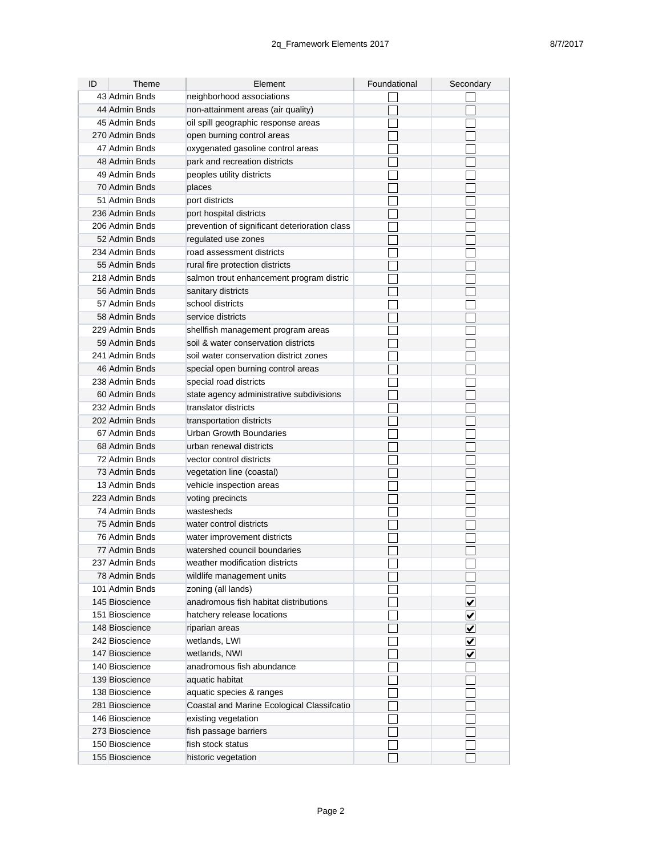| ID | Theme                            | Element                                                          | Foundational | Secondary            |
|----|----------------------------------|------------------------------------------------------------------|--------------|----------------------|
|    | 43 Admin Bnds                    | neighborhood associations                                        |              |                      |
|    | 44 Admin Bnds                    | non-attainment areas (air quality)                               |              |                      |
|    | 45 Admin Bnds                    | oil spill geographic response areas                              |              |                      |
|    | 270 Admin Bnds                   | open burning control areas                                       |              |                      |
|    | 47 Admin Bnds                    | oxygenated gasoline control areas                                |              |                      |
|    | 48 Admin Bnds                    | park and recreation districts                                    |              |                      |
|    | 49 Admin Bnds                    | peoples utility districts                                        |              |                      |
|    | 70 Admin Bnds                    | places                                                           |              |                      |
|    | 51 Admin Bnds                    | port districts                                                   |              |                      |
|    | 236 Admin Bnds                   | port hospital districts                                          |              |                      |
|    | 206 Admin Bnds                   | prevention of significant deterioration class                    |              |                      |
|    | 52 Admin Bnds                    | regulated use zones                                              |              |                      |
|    | 234 Admin Bnds                   | road assessment districts                                        |              |                      |
|    | 55 Admin Bnds                    | rural fire protection districts                                  |              |                      |
|    | 218 Admin Bnds                   | salmon trout enhancement program distric                         |              |                      |
|    | 56 Admin Bnds                    | sanitary districts                                               |              |                      |
|    | 57 Admin Bnds                    | school districts                                                 |              |                      |
|    | 58 Admin Bnds                    | service districts                                                |              |                      |
|    | 229 Admin Bnds                   | shellfish management program areas                               |              |                      |
|    | 59 Admin Bnds                    | soil & water conservation districts                              |              |                      |
|    | 241 Admin Bnds                   | soil water conservation district zones                           |              |                      |
|    | 46 Admin Bnds                    |                                                                  |              |                      |
|    | 238 Admin Bnds                   | special open burning control areas<br>special road districts     |              |                      |
|    | 60 Admin Bnds                    |                                                                  |              |                      |
|    |                                  | state agency administrative subdivisions<br>translator districts |              |                      |
|    | 232 Admin Bnds<br>202 Admin Bnds |                                                                  |              |                      |
|    | 67 Admin Bnds                    | transportation districts<br><b>Urban Growth Boundaries</b>       |              |                      |
|    |                                  | urban renewal districts                                          |              |                      |
|    | 68 Admin Bnds                    |                                                                  |              |                      |
|    | 72 Admin Bnds                    | vector control districts                                         |              |                      |
|    | 73 Admin Bnds                    | vegetation line (coastal)                                        |              |                      |
|    | 13 Admin Bnds                    | vehicle inspection areas                                         |              |                      |
|    | 223 Admin Bnds                   | voting precincts                                                 |              |                      |
|    | 74 Admin Bnds                    | wastesheds                                                       |              |                      |
|    | 75 Admin Bnds                    | water control districts                                          |              |                      |
|    | 76 Admin Bnds                    | water improvement districts                                      |              |                      |
|    | 77 Admin Bnds                    | watershed council boundaries                                     |              |                      |
|    | 237 Admin Bnds                   | weather modification districts                                   |              |                      |
|    | 78 Admin Bnds                    | wildlife management units                                        |              |                      |
|    | 101 Admin Bnds                   | zoning (all lands)                                               |              |                      |
|    | 145 Bioscience                   | anadromous fish habitat distributions                            |              | $\blacktriangledown$ |
|    | 151 Bioscience                   | hatchery release locations                                       |              | V                    |
|    | 148 Bioscience                   | riparian areas                                                   |              | V                    |
|    | 242 Bioscience                   | wetlands, LWI                                                    |              | V                    |
|    | 147 Bioscience                   | wetlands, NWI                                                    |              | V                    |
|    | 140 Bioscience                   | anadromous fish abundance                                        |              |                      |
|    | 139 Bioscience                   | aquatic habitat                                                  |              |                      |
|    | 138 Bioscience                   | aquatic species & ranges                                         |              |                      |
|    | 281 Bioscience                   | Coastal and Marine Ecological Classifcatio                       |              |                      |
|    | 146 Bioscience                   | existing vegetation                                              |              |                      |
|    | 273 Bioscience                   | fish passage barriers                                            |              |                      |
|    | 150 Bioscience                   | fish stock status                                                |              |                      |
|    | 155 Bioscience                   | historic vegetation                                              |              |                      |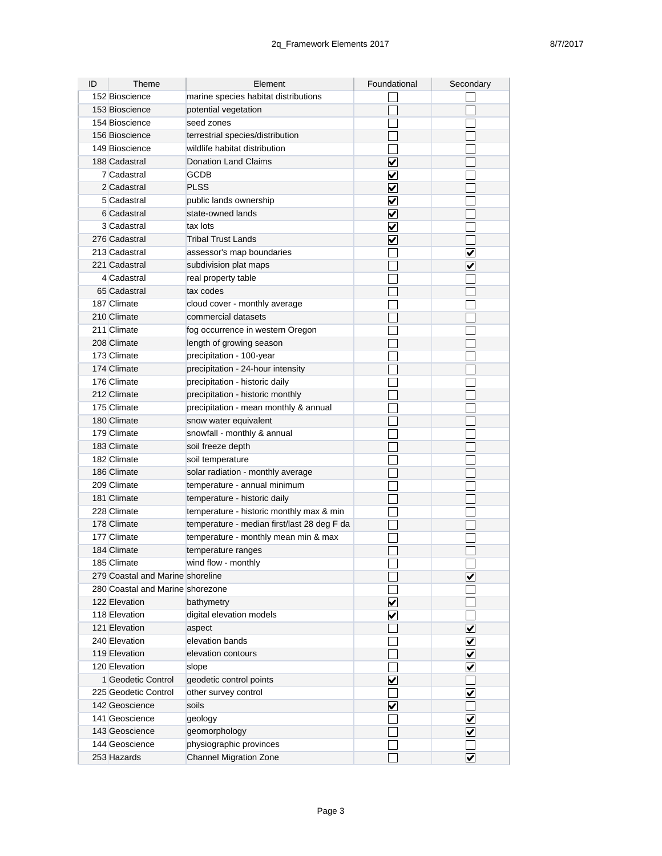| ID | Theme                            | Element                                     | Foundational | Secondary            |
|----|----------------------------------|---------------------------------------------|--------------|----------------------|
|    | 152 Bioscience                   | marine species habitat distributions        |              |                      |
|    | 153 Bioscience                   | potential vegetation                        |              |                      |
|    | 154 Bioscience                   | seed zones                                  |              |                      |
|    | 156 Bioscience                   | terrestrial species/distribution            |              |                      |
|    | 149 Bioscience                   | wildlife habitat distribution               |              |                      |
|    | 188 Cadastral                    | <b>Donation Land Claims</b>                 | V            |                      |
|    | 7 Cadastral                      | GCDB                                        | V            |                      |
|    | 2 Cadastral                      | PLSS                                        | ✔            |                      |
|    | 5 Cadastral                      | public lands ownership                      | ✔            |                      |
|    | 6 Cadastral                      | state-owned lands                           | ✔            |                      |
|    | 3 Cadastral                      | tax lots                                    | V            |                      |
|    | 276 Cadastral                    | <b>Tribal Trust Lands</b>                   | ⊻            |                      |
|    | 213 Cadastral                    | assessor's map boundaries                   |              | V                    |
|    | 221 Cadastral                    | subdivision plat maps                       |              | V                    |
|    | 4 Cadastral                      | real property table                         |              |                      |
|    | 65 Cadastral                     | tax codes                                   |              |                      |
|    | 187 Climate                      | cloud cover - monthly average               |              |                      |
|    | 210 Climate                      | commercial datasets                         |              |                      |
|    | 211 Climate                      | fog occurrence in western Oregon            |              |                      |
|    | 208 Climate                      |                                             |              |                      |
|    | 173 Climate                      | length of growing season                    |              |                      |
|    | 174 Climate                      | precipitation - 100-year                    |              |                      |
|    | 176 Climate                      | precipitation - 24-hour intensity           |              |                      |
|    |                                  | precipitation - historic daily              |              |                      |
|    | 212 Climate                      | precipitation - historic monthly            |              |                      |
|    | 175 Climate                      | precipitation - mean monthly & annual       |              |                      |
|    | 180 Climate                      | snow water equivalent                       |              |                      |
|    | 179 Climate                      | snowfall - monthly & annual                 |              |                      |
|    | 183 Climate                      | soil freeze depth                           |              |                      |
|    | 182 Climate                      | soil temperature                            |              |                      |
|    | 186 Climate                      | solar radiation - monthly average           |              |                      |
|    | 209 Climate                      | temperature - annual minimum                |              |                      |
|    | 181 Climate                      | temperature - historic daily                |              |                      |
|    | 228 Climate                      | temperature - historic monthly max & min    |              |                      |
|    | 178 Climate                      | temperature - median first/last 28 deg F da |              |                      |
|    | 177 Climate                      | temperature - monthly mean min & max        |              |                      |
|    | 184 Climate                      | temperature ranges                          |              |                      |
|    | 185 Climate                      | wind flow - monthly                         |              |                      |
|    | 279 Coastal and Marine shoreline |                                             |              | V                    |
|    | 280 Coastal and Marine shorezone |                                             |              |                      |
|    | 122 Elevation                    | bathymetry                                  | V            |                      |
|    | 118 Elevation                    | digital elevation models                    | V            |                      |
|    | 121 Elevation                    | aspect                                      |              | ✔                    |
|    | 240 Elevation                    | elevation bands                             |              | ✔                    |
|    | 119 Elevation                    | elevation contours                          |              | $\blacktriangledown$ |
|    | 120 Elevation                    | slope                                       |              | ✔                    |
|    | 1 Geodetic Control               | geodetic control points                     | V            |                      |
|    | 225 Geodetic Control             | other survey control                        |              | V                    |
|    | 142 Geoscience                   | soils                                       | V            |                      |
|    | 141 Geoscience                   | geology                                     |              |                      |
|    | 143 Geoscience                   | geomorphology                               |              | V                    |
|    | 144 Geoscience                   | physiographic provinces                     |              |                      |
|    | 253 Hazards                      | <b>Channel Migration Zone</b>               |              | V                    |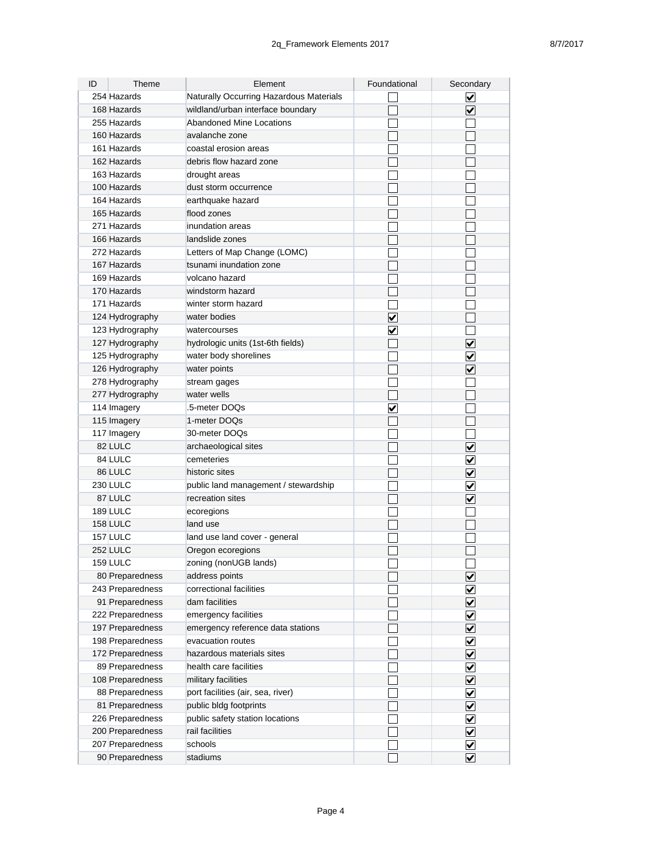| ID | Theme            | Element                                 | Foundational            | Secondary            |
|----|------------------|-----------------------------------------|-------------------------|----------------------|
|    | 254 Hazards      | Naturally Occurring Hazardous Materials |                         | ⊻                    |
|    | 168 Hazards      | wildland/urban interface boundary       |                         | V                    |
|    | 255 Hazards      | <b>Abandoned Mine Locations</b>         |                         |                      |
|    | 160 Hazards      | avalanche zone                          |                         |                      |
|    | 161 Hazards      | coastal erosion areas                   |                         |                      |
|    | 162 Hazards      | debris flow hazard zone                 |                         |                      |
|    | 163 Hazards      | drought areas                           |                         |                      |
|    | 100 Hazards      | dust storm occurrence                   |                         |                      |
|    | 164 Hazards      | earthquake hazard                       |                         |                      |
|    | 165 Hazards      | flood zones                             |                         |                      |
|    | 271 Hazards      | inundation areas                        |                         |                      |
|    | 166 Hazards      | landslide zones                         |                         |                      |
|    | 272 Hazards      | Letters of Map Change (LOMC)            |                         |                      |
|    | 167 Hazards      | tsunami inundation zone                 |                         |                      |
|    | 169 Hazards      | volcano hazard                          |                         |                      |
|    | 170 Hazards      | windstorm hazard                        |                         |                      |
|    | 171 Hazards      | winter storm hazard                     |                         |                      |
|    | 124 Hydrography  | water bodies                            | $\overline{\mathbf{v}}$ |                      |
|    | 123 Hydrography  | watercourses                            | V                       |                      |
|    | 127 Hydrography  | hydrologic units (1st-6th fields)       |                         |                      |
|    | 125 Hydrography  | water body shorelines                   |                         | V                    |
|    | 126 Hydrography  |                                         |                         | V                    |
|    |                  | water points                            |                         | V                    |
|    | 278 Hydrography  | stream gages                            |                         |                      |
|    | 277 Hydrography  | water wells                             |                         |                      |
|    | 114 Imagery      | 5-meter DOQs                            | <u>V</u>                |                      |
|    | 115 Imagery      | 1-meter DOQs                            |                         |                      |
|    | 117 Imagery      | 30-meter DOQs                           |                         |                      |
|    | 82 LULC          | archaeological sites                    |                         | V                    |
|    | 84 LULC          | cemeteries                              |                         | V                    |
|    | 86 LULC          | historic sites                          |                         | V                    |
|    | 230 LULC         | public land management / stewardship    |                         | V                    |
|    | 87 LULC          | recreation sites                        |                         | V                    |
|    | 189 LULC         | ecoregions                              |                         |                      |
|    | 158 LULC         | land use                                |                         |                      |
|    | 157 LULC         | land use land cover - general           |                         |                      |
|    | 252 LULC         | Oregon ecoregions                       |                         |                      |
|    | 159 LULC         | zoning (nonUGB lands)                   |                         |                      |
|    | 80 Preparedness  | address points                          |                         | $\blacktriangledown$ |
|    | 243 Preparedness | correctional facilities                 |                         | ⊻                    |
|    | 91 Preparedness  | dam facilities                          |                         | ⊻                    |
|    | 222 Preparedness | emergency facilities                    |                         | ⊻                    |
|    | 197 Preparedness | emergency reference data stations       |                         | ⊻                    |
|    | 198 Preparedness | evacuation routes                       |                         | ⊻                    |
|    | 172 Preparedness | hazardous materials sites               |                         | ⊻                    |
|    | 89 Preparedness  | health care facilities                  |                         | V                    |
|    | 108 Preparedness | military facilities                     |                         | ⊻                    |
|    | 88 Preparedness  | port facilities (air, sea, river)       |                         | V                    |
|    | 81 Preparedness  | public bldg footprints                  |                         | $\blacktriangledown$ |
|    | 226 Preparedness | public safety station locations         |                         | V                    |
|    | 200 Preparedness | rail facilities                         |                         | ⊻                    |
|    | 207 Preparedness | schools                                 |                         | V                    |
|    | 90 Preparedness  | stadiums                                |                         | $\blacktriangledown$ |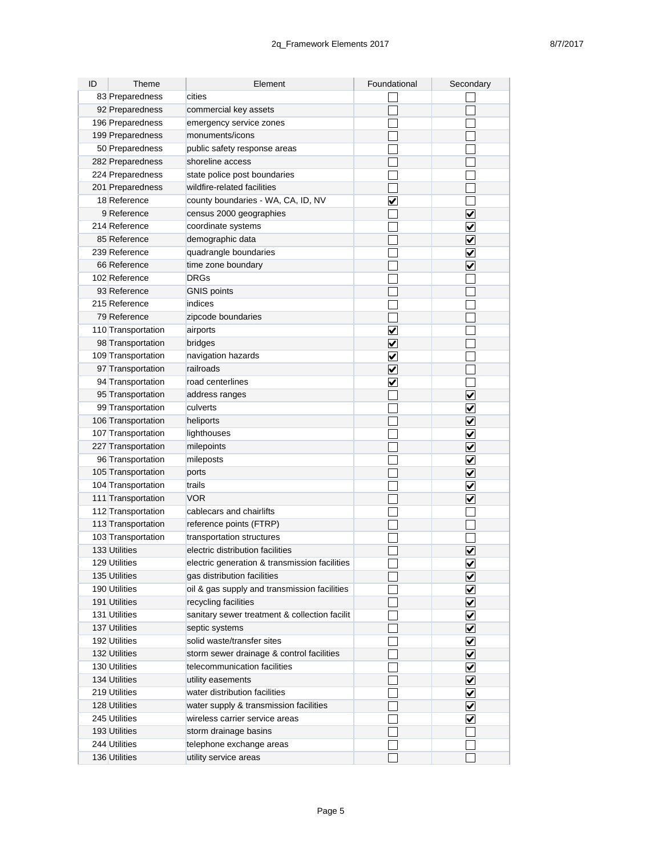| ID | Theme              | Element                                       | Foundational | Secondary            |
|----|--------------------|-----------------------------------------------|--------------|----------------------|
|    | 83 Preparedness    | cities                                        |              |                      |
|    | 92 Preparedness    | commercial key assets                         |              |                      |
|    | 196 Preparedness   | emergency service zones                       |              |                      |
|    | 199 Preparedness   | monuments/icons                               |              |                      |
|    | 50 Preparedness    | public safety response areas                  |              |                      |
|    | 282 Preparedness   | shoreline access                              |              |                      |
|    | 224 Preparedness   | state police post boundaries                  |              |                      |
|    | 201 Preparedness   | wildfire-related facilities                   |              |                      |
|    | 18 Reference       | county boundaries - WA, CA, ID, NV            | ✔            |                      |
|    | 9 Reference        | census 2000 geographies                       |              | V                    |
|    | 214 Reference      | coordinate systems                            |              | V                    |
|    | 85 Reference       | demographic data                              |              | V                    |
|    | 239 Reference      | quadrangle boundaries                         |              |                      |
|    | 66 Reference       | time zone boundary                            |              | V                    |
|    | 102 Reference      | <b>DRGs</b>                                   |              | V                    |
|    | 93 Reference       |                                               |              |                      |
|    | 215 Reference      | <b>GNIS points</b><br>indices                 |              |                      |
|    |                    |                                               |              |                      |
|    | 79 Reference       | zipcode boundaries                            |              |                      |
|    | 110 Transportation | airports                                      | ⊻            |                      |
|    | 98 Transportation  | bridges                                       | <u>V</u>     |                      |
|    | 109 Transportation | navigation hazards                            | <u>V</u>     |                      |
|    | 97 Transportation  | railroads                                     | V            |                      |
|    | 94 Transportation  | road centerlines                              | V            |                      |
|    | 95 Transportation  | address ranges                                |              | V                    |
|    | 99 Transportation  | culverts                                      |              | V                    |
|    | 106 Transportation | heliports                                     |              | V                    |
|    | 107 Transportation | lighthouses                                   |              | V                    |
|    | 227 Transportation | milepoints                                    |              | V                    |
|    | 96 Transportation  | mileposts                                     |              | V                    |
|    | 105 Transportation | ports                                         |              | V                    |
|    | 104 Transportation | trails                                        |              | V                    |
|    | 111 Transportation | <b>VOR</b>                                    |              | V                    |
|    | 112 Transportation | cablecars and chairlifts                      |              |                      |
|    | 113 Transportation | reference points (FTRP)                       |              |                      |
|    | 103 Transportation | transportation structures                     |              |                      |
|    | 133 Utilities      | electric distribution facilities              |              | V                    |
|    | 129 Utilities      | electric generation & transmission facilities |              | ⊻                    |
|    | 135 Utilities      | gas distribution facilities                   |              | $\blacktriangledown$ |
|    | 190 Utilities      | oil & gas supply and transmission facilities  |              | $\blacktriangledown$ |
|    | 191 Utilities      | recycling facilities                          |              | $\blacktriangledown$ |
|    | 131 Utilities      | sanitary sewer treatment & collection facilit |              | $\blacktriangledown$ |
|    | 137 Utilities      | septic systems                                |              | $\blacktriangledown$ |
|    | 192 Utilities      | solid waste/transfer sites                    |              | ✔                    |
|    | 132 Utilities      | storm sewer drainage & control facilities     |              | $\blacktriangledown$ |
|    | 130 Utilities      | telecommunication facilities                  |              | ⊻                    |
|    | 134 Utilities      | utility easements                             |              | ⊻                    |
|    | 219 Utilities      | water distribution facilities                 |              | V                    |
|    | 128 Utilities      | water supply & transmission facilities        |              | V                    |
|    | 245 Utilities      | wireless carrier service areas                |              | V                    |
|    | 193 Utilities      | storm drainage basins                         |              |                      |
|    | 244 Utilities      | telephone exchange areas                      |              |                      |
|    | 136 Utilities      | utility service areas                         |              |                      |